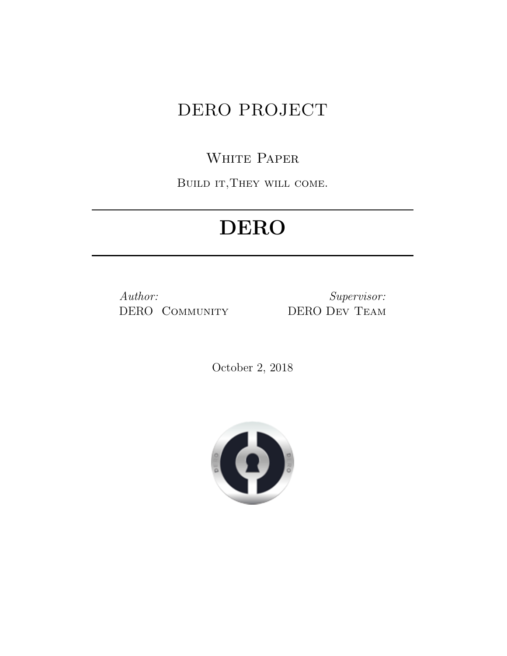# DERO PROJECT

# WHITE PAPER

BUILD IT, THEY WILL COME.

# **DERO**

*Author:* DERO Community

*Supervisor:* DERO Dev Team

October 2, 2018

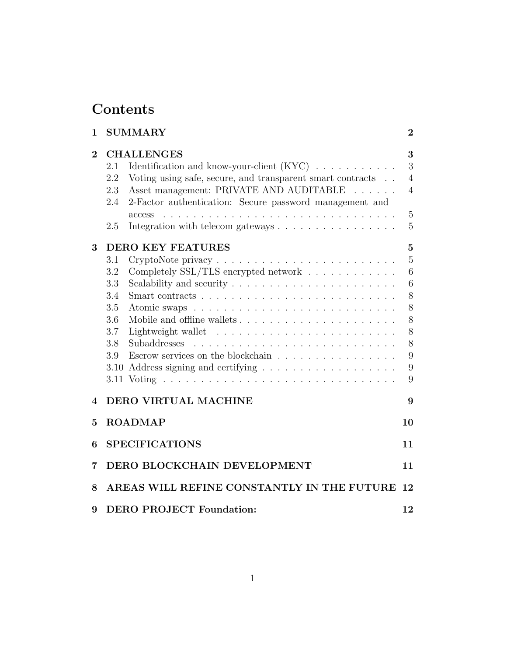# **Contents**

| 1        | <b>SUMMARY</b>                                                                                                                                                                                                                                                                                                                                                                                                                                                                            | $\overline{2}$                                                                 |  |
|----------|-------------------------------------------------------------------------------------------------------------------------------------------------------------------------------------------------------------------------------------------------------------------------------------------------------------------------------------------------------------------------------------------------------------------------------------------------------------------------------------------|--------------------------------------------------------------------------------|--|
| $\bf{2}$ | <b>CHALLENGES</b><br>Identification and know-your-client $(KYC)$<br>2.1<br>Voting using safe, secure, and transparent smart contracts<br>2.2<br>Asset management: PRIVATE AND AUDITABLE<br>2.3<br>$\frac{1}{2}$ $\frac{1}{2}$ $\frac{1}{2}$ $\frac{1}{2}$ $\frac{1}{2}$ $\frac{1}{2}$ $\frac{1}{2}$ $\frac{1}{2}$<br>2-Factor authentication: Secure password management and<br>2.4<br>access<br>$\sim$<br>Integration with telecom gateways $\dots \dots \dots \dots \dots \dots$<br>2.5 | 3<br>3<br>$\overline{4}$<br>$\overline{4}$<br>$\overline{5}$<br>$\overline{5}$ |  |
| 3        | <b>DERO KEY FEATURES</b>                                                                                                                                                                                                                                                                                                                                                                                                                                                                  | $\overline{5}$                                                                 |  |
|          | 3.1                                                                                                                                                                                                                                                                                                                                                                                                                                                                                       | $\overline{5}$                                                                 |  |
|          | Completely SSL/TLS encrypted network<br>3.2<br>3.3                                                                                                                                                                                                                                                                                                                                                                                                                                        | 6<br>6                                                                         |  |
|          | 3.4                                                                                                                                                                                                                                                                                                                                                                                                                                                                                       | 8                                                                              |  |
|          | 3.5                                                                                                                                                                                                                                                                                                                                                                                                                                                                                       | 8                                                                              |  |
|          | 3.6                                                                                                                                                                                                                                                                                                                                                                                                                                                                                       | 8                                                                              |  |
|          | 3.7                                                                                                                                                                                                                                                                                                                                                                                                                                                                                       | 8                                                                              |  |
|          | 3.8                                                                                                                                                                                                                                                                                                                                                                                                                                                                                       | 8                                                                              |  |
|          | Escrow services on the blockchain $\ldots \ldots \ldots \ldots \ldots$<br>3.9                                                                                                                                                                                                                                                                                                                                                                                                             | 9                                                                              |  |
|          | $3.10\,$                                                                                                                                                                                                                                                                                                                                                                                                                                                                                  | 9                                                                              |  |
|          |                                                                                                                                                                                                                                                                                                                                                                                                                                                                                           | 9                                                                              |  |
| 4        | <b>DERO VIRTUAL MACHINE</b>                                                                                                                                                                                                                                                                                                                                                                                                                                                               | 9                                                                              |  |
| 5        | <b>ROADMAP</b>                                                                                                                                                                                                                                                                                                                                                                                                                                                                            | 10                                                                             |  |
| 6        | <b>SPECIFICATIONS</b>                                                                                                                                                                                                                                                                                                                                                                                                                                                                     | 11                                                                             |  |
| 7        | DERO BLOCKCHAIN DEVELOPMENT<br>11                                                                                                                                                                                                                                                                                                                                                                                                                                                         |                                                                                |  |
| 8        | AREAS WILL REFINE CONSTANTLY IN THE FUTURE<br>12                                                                                                                                                                                                                                                                                                                                                                                                                                          |                                                                                |  |
| 9        | <b>DERO PROJECT Foundation:</b>                                                                                                                                                                                                                                                                                                                                                                                                                                                           | 12                                                                             |  |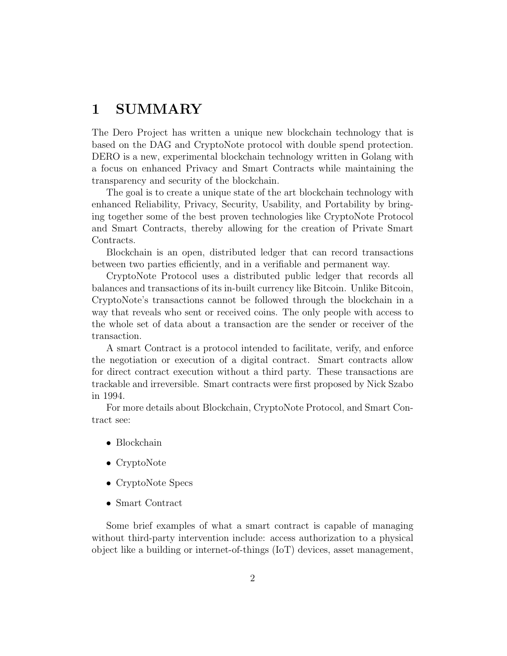## <span id="page-2-0"></span>**1 SUMMARY**

The Dero Project has written a unique new blockchain technology that is based on the DAG and CryptoNote protocol with double spend protection. DERO is a new, experimental blockchain technology written in Golang with a focus on enhanced Privacy and Smart Contracts while maintaining the transparency and security of the blockchain.

The goal is to create a unique state of the art blockchain technology with enhanced Reliability, Privacy, Security, Usability, and Portability by bringing together some of the best proven technologies like CryptoNote Protocol and Smart Contracts, thereby allowing for the creation of Private Smart Contracts.

Blockchain is an open, distributed ledger that can record transactions between two parties efficiently, and in a verifiable and permanent way.

CryptoNote Protocol uses a distributed public ledger that records all balances and transactions of its in-built currency like Bitcoin. Unlike Bitcoin, CryptoNote's transactions cannot be followed through the blockchain in a way that reveals who sent or received coins. The only people with access to the whole set of data about a transaction are the sender or receiver of the transaction.

A smart Contract is a protocol intended to facilitate, verify, and enforce the negotiation or execution of a digital contract. Smart contracts allow for direct contract execution without a third party. These transactions are trackable and irreversible. Smart contracts were first proposed by Nick Szabo in 1994.

For more details about Blockchain, CryptoNote Protocol, and Smart Contract see:

- *•* [Blockchain](https://en.wikipedia.org/wiki/Blockchain)
- *•* [CryptoNote](https://en.wikipedia.org/wiki/CryptoNote)
- *•* [CryptoNote Specs](https://cryptonote.org/whitepaper.pdf)
- *•* [Smart Contract](https://en.wikipedia.org/wiki/Smart_contract)

Some brief examples of what a smart contract is capable of managing without third-party intervention include: access authorization to a physical object like a building or internet-of-things (IoT) devices, asset management,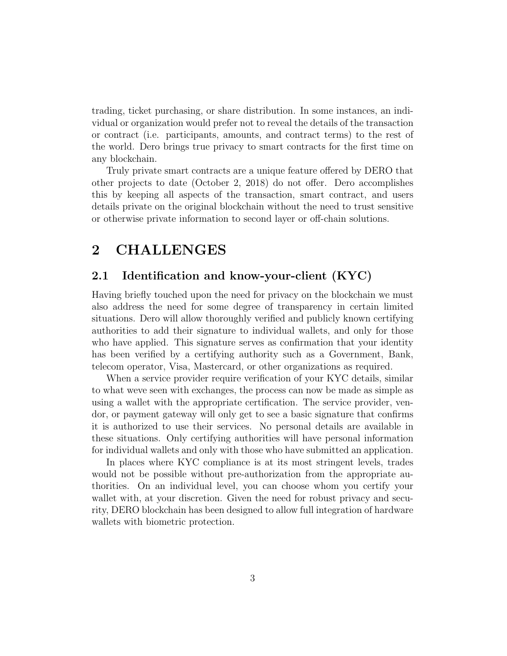trading, ticket purchasing, or share distribution. In some instances, an individual or organization would prefer not to reveal the details of the transaction or contract (i.e. participants, amounts, and contract terms) to the rest of the world. Dero brings true privacy to smart contracts for the first time on any blockchain.

Truly private smart contracts are a unique feature offered by DERO that other projects to date (October 2, 2018) do not offer. Dero accomplishes this by keeping all aspects of the transaction, smart contract, and users details private on the original blockchain without the need to trust sensitive or otherwise private information to second layer or off-chain solutions.

### <span id="page-3-0"></span>**2 CHALLENGES**

#### <span id="page-3-1"></span>**2.1 Identification and know-your-client (KYC)**

Having briefly touched upon the need for privacy on the blockchain we must also address the need for some degree of transparency in certain limited situations. Dero will allow thoroughly verified and publicly known certifying authorities to add their signature to individual wallets, and only for those who have applied. This signature serves as confirmation that your identity has been verified by a certifying authority such as a Government, Bank, telecom operator, Visa, Mastercard, or other organizations as required.

When a service provider require verification of your KYC details, similar to what weve seen with exchanges, the process can now be made as simple as using a wallet with the appropriate certification. The service provider, vendor, or payment gateway will only get to see a basic signature that confirms it is authorized to use their services. No personal details are available in these situations. Only certifying authorities will have personal information for individual wallets and only with those who have submitted an application.

In places where KYC compliance is at its most stringent levels, trades would not be possible without pre-authorization from the appropriate authorities. On an individual level, you can choose whom you certify your wallet with, at your discretion. Given the need for robust privacy and security, DERO blockchain has been designed to allow full integration of hardware wallets with biometric protection.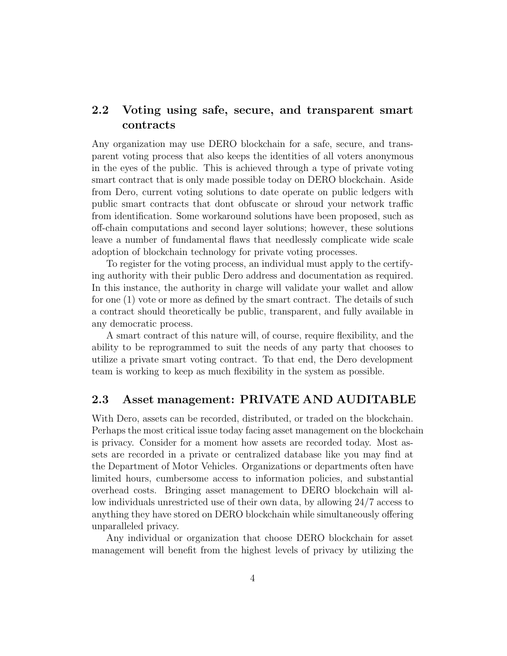#### <span id="page-4-0"></span>**2.2 Voting using safe, secure, and transparent smart contracts**

Any organization may use DERO blockchain for a safe, secure, and transparent voting process that also keeps the identities of all voters anonymous in the eyes of the public. This is achieved through a type of private voting smart contract that is only made possible today on DERO blockchain. Aside from Dero, current voting solutions to date operate on public ledgers with public smart contracts that dont obfuscate or shroud your network traffic from identification. Some workaround solutions have been proposed, such as off-chain computations and second layer solutions; however, these solutions leave a number of fundamental flaws that needlessly complicate wide scale adoption of blockchain technology for private voting processes.

To register for the voting process, an individual must apply to the certifying authority with their public Dero address and documentation as required. In this instance, the authority in charge will validate your wallet and allow for one (1) vote or more as defined by the smart contract. The details of such a contract should theoretically be public, transparent, and fully available in any democratic process.

A smart contract of this nature will, of course, require flexibility, and the ability to be reprogrammed to suit the needs of any party that chooses to utilize a private smart voting contract. To that end, the Dero development team is working to keep as much flexibility in the system as possible.

#### <span id="page-4-1"></span>**2.3 Asset management: PRIVATE AND AUDITABLE**

With Dero, assets can be recorded, distributed, or traded on the blockchain. Perhaps the most critical issue today facing asset management on the blockchain is privacy. Consider for a moment how assets are recorded today. Most assets are recorded in a private or centralized database like you may find at the Department of Motor Vehicles. Organizations or departments often have limited hours, cumbersome access to information policies, and substantial overhead costs. Bringing asset management to DERO blockchain will allow individuals unrestricted use of their own data, by allowing 24/7 access to anything they have stored on DERO blockchain while simultaneously offering unparalleled privacy.

Any individual or organization that choose DERO blockchain for asset management will benefit from the highest levels of privacy by utilizing the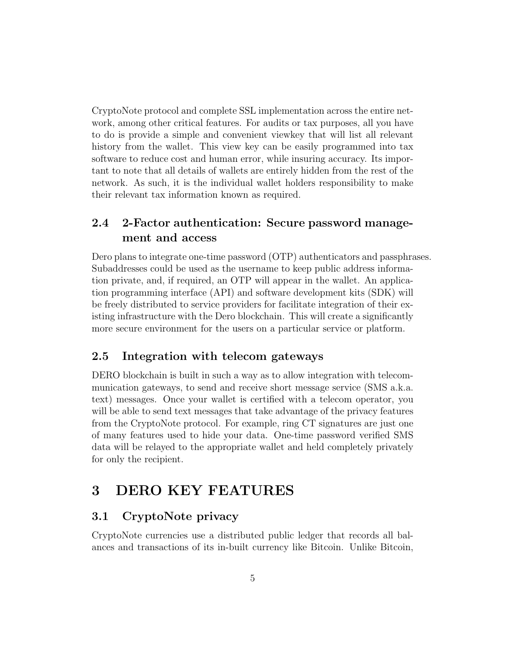CryptoNote protocol and complete SSL implementation across the entire network, among other critical features. For audits or tax purposes, all you have to do is provide a simple and convenient viewkey that will list all relevant history from the wallet. This view key can be easily programmed into tax software to reduce cost and human error, while insuring accuracy. Its important to note that all details of wallets are entirely hidden from the rest of the network. As such, it is the individual wallet holders responsibility to make their relevant tax information known as required.

#### <span id="page-5-0"></span>**2.4 2-Factor authentication: Secure password management and access**

Dero plans to integrate one-time password (OTP) authenticators and passphrases. Subaddresses could be used as the username to keep public address information private, and, if required, an OTP will appear in the wallet. An application programming interface (API) and software development kits (SDK) will be freely distributed to service providers for facilitate integration of their existing infrastructure with the Dero blockchain. This will create a significantly more secure environment for the users on a particular service or platform.

#### <span id="page-5-1"></span>**2.5 Integration with telecom gateways**

DERO blockchain is built in such a way as to allow integration with telecommunication gateways, to send and receive short message service (SMS a.k.a. text) messages. Once your wallet is certified with a telecom operator, you will be able to send text messages that take advantage of the privacy features from the CryptoNote protocol. For example, ring CT signatures are just one of many features used to hide your data. One-time password verified SMS data will be relayed to the appropriate wallet and held completely privately for only the recipient.

### <span id="page-5-2"></span>**3 DERO KEY FEATURES**

#### <span id="page-5-3"></span>**3.1 CryptoNote privacy**

CryptoNote currencies use a distributed public ledger that records all balances and transactions of its in-built currency like Bitcoin. Unlike Bitcoin,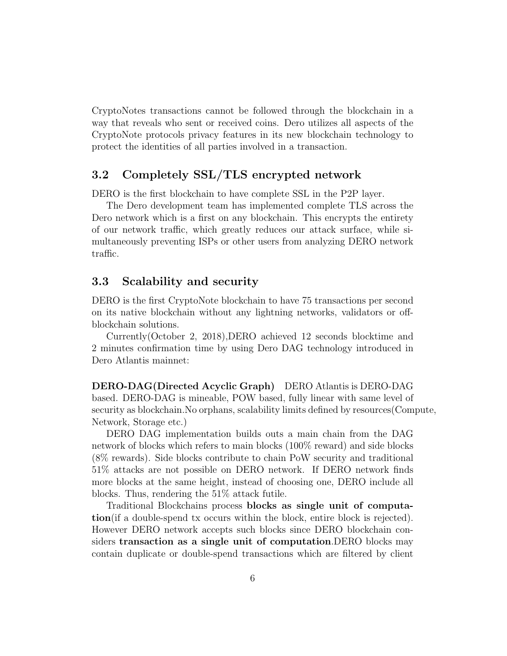CryptoNotes transactions cannot be followed through the blockchain in a way that reveals who sent or received coins. Dero utilizes all aspects of the CryptoNote protocols privacy features in its new blockchain technology to protect the identities of all parties involved in a transaction.

#### <span id="page-6-0"></span>**3.2 Completely SSL/TLS encrypted network**

DERO is the first blockchain to have complete SSL in the P2P layer.

The Dero development team has implemented complete TLS across the Dero network which is a first on any blockchain. This encrypts the entirety of our network traffic, which greatly reduces our attack surface, while simultaneously preventing ISPs or other users from analyzing DERO network traffic.

#### <span id="page-6-1"></span>**3.3 Scalability and security**

DERO is the first CryptoNote blockchain to have 75 transactions per second on its native blockchain without any lightning networks, validators or offblockchain solutions.

Currently(October 2, 2018),DERO achieved 12 seconds blocktime and 2 minutes confirmation time by using Dero DAG technology introduced in Dero Atlantis mainnet:

**DERO-DAG(Directed Acyclic Graph)** DERO Atlantis is DERO-DAG based. DERO-DAG is mineable, POW based, fully linear with same level of security as blockchain.No orphans, scalability limits defined by resources(Compute, Network, Storage etc.)

DERO DAG implementation builds outs a main chain from the DAG network of blocks which refers to main blocks (100% reward) and side blocks (8% rewards). Side blocks contribute to chain PoW security and traditional 51% attacks are not possible on DERO network. If DERO network finds more blocks at the same height, instead of choosing one, DERO include all blocks. Thus, rendering the 51% attack futile.

Traditional Blockchains process **blocks as single unit of computation**(if a double-spend tx occurs within the block, entire block is rejected). However DERO network accepts such blocks since DERO blockchain considers **transaction as a single unit of computation**.DERO blocks may contain duplicate or double-spend transactions which are filtered by client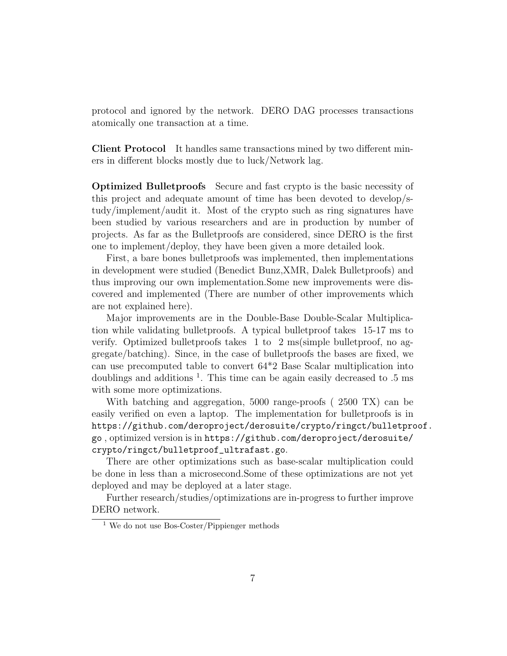protocol and ignored by the network. DERO DAG processes transactions atomically one transaction at a time.

**Client Protocol** It handles same transactions mined by two different miners in different blocks mostly due to luck/Network lag.

**Optimized Bulletproofs** Secure and fast crypto is the basic necessity of this project and adequate amount of time has been devoted to develop/study/implement/audit it. Most of the crypto such as ring signatures have been studied by various researchers and are in production by number of projects. As far as the Bulletproofs are considered, since DERO is the first one to implement/deploy, they have been given a more detailed look.

First, a bare bones bulletproofs was implemented, then implementations in development were studied (Benedict Bunz,XMR, Dalek Bulletproofs) and thus improving our own implementation.Some new improvements were discovered and implemented (There are number of other improvements which are not explained here).

Major improvements are in the Double-Base Double-Scalar Multiplication while validating bulletproofs. A typical bulletproof takes 15-17 ms to verify. Optimized bulletproofs takes 1 to 2 ms(simple bulletproof, no aggregate/batching). Since, in the case of bulletproofs the bases are fixed, we can use precomputed table to convert 64\*2 Base Scalar multiplication into doublings and additions  $<sup>1</sup>$  $<sup>1</sup>$  $<sup>1</sup>$ . This time can be again easily decreased to .5 ms</sup> with some more optimizations.

With batching and aggregation, 5000 range-proofs ( 2500 TX) can be easily verified on even a laptop. The implementation for bulletproofs is in [https://github.com/deroproject/derosuite/crypto/ringct/bulletproof.](https://github.com/deroproject/derosuite/crypto/ringct/bulletproof.go) [go](https://github.com/deroproject/derosuite/crypto/ringct/bulletproof.go) , optimized version is in [https://github.com/deroproject/derosuite/](https://github.com/deroproject/derosuite/crypto/ringct/bulletproof_ultrafast.go) [crypto/ringct/bulletproof\\_ultrafast.go](https://github.com/deroproject/derosuite/crypto/ringct/bulletproof_ultrafast.go).

There are other optimizations such as base-scalar multiplication could be done in less than a microsecond.Some of these optimizations are not yet deployed and may be deployed at a later stage.

Further research/studies/optimizations are in-progress to further improve DERO network.

<span id="page-7-0"></span><sup>1</sup> We do not use Bos-Coster/Pippienger methods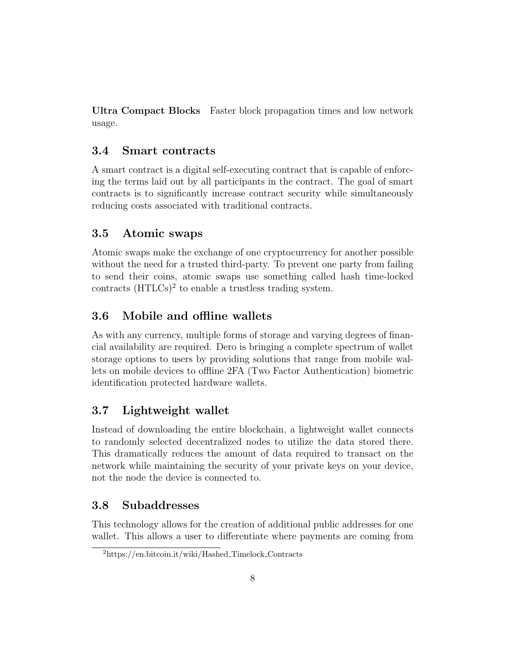**Ultra Compact Blocks** Faster block propagation times and low network usage.

#### <span id="page-8-0"></span>**3.4 Smart contracts**

A smart contract is a digital self-executing contract that is capable of enforcing the terms laid out by all participants in the contract. The goal of smart contracts is to significantly increase contract security while simultaneously reducing costs associated with traditional contracts.

### <span id="page-8-1"></span>**3.5 Atomic swaps**

Atomic swaps make the exchange of one cryptocurrency for another possible without the need for a trusted third-party. To prevent one party from failing to send their coins, atomic swaps use something called hash time-locked contracts (HTLCs)<sup>[2](#page-8-5)</sup> to enable a trustless trading system.

### <span id="page-8-2"></span>**3.6 Mobile and offline wallets**

As with any currency, multiple forms of storage and varying degrees of financial availability are required. Dero is bringing a complete spectrum of wallet storage options to users by providing solutions that range from mobile wallets on mobile devices to offline 2FA (Two Factor Authentication) biometric identification protected hardware wallets.

### <span id="page-8-3"></span>**3.7 Lightweight wallet**

Instead of downloading the entire blockchain, a lightweight wallet connects to randomly selected decentralized nodes to utilize the data stored there. This dramatically reduces the amount of data required to transact on the network while maintaining the security of your private keys on your device, not the node the device is connected to.

### <span id="page-8-4"></span>**3.8 Subaddresses**

This technology allows for the creation of additional public addresses for one wallet. This allows a user to differentiate where payments are coming from

<span id="page-8-5"></span> $2$ https://en.bitcoin.it/wiki/Hashed\_Timelock\_Contracts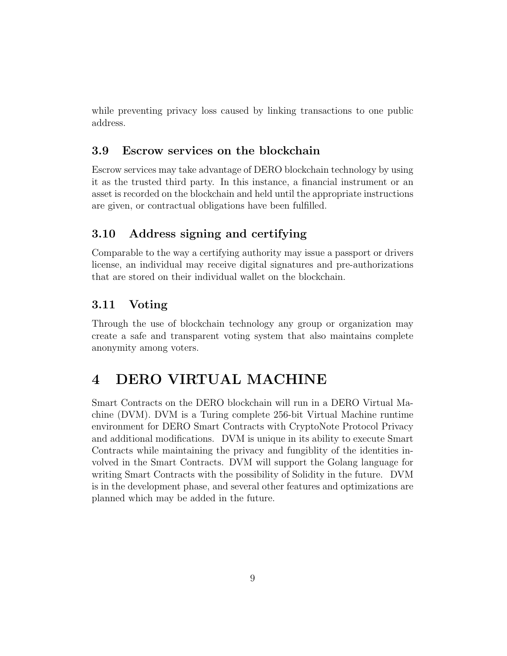while preventing privacy loss caused by linking transactions to one public address.

#### <span id="page-9-0"></span>**3.9 Escrow services on the blockchain**

Escrow services may take advantage of DERO blockchain technology by using it as the trusted third party. In this instance, a financial instrument or an asset is recorded on the blockchain and held until the appropriate instructions are given, or contractual obligations have been fulfilled.

#### <span id="page-9-1"></span>**3.10 Address signing and certifying**

Comparable to the way a certifying authority may issue a passport or drivers license, an individual may receive digital signatures and pre-authorizations that are stored on their individual wallet on the blockchain.

#### <span id="page-9-2"></span>**3.11 Voting**

Through the use of blockchain technology any group or organization may create a safe and transparent voting system that also maintains complete anonymity among voters.

# <span id="page-9-3"></span>**4 DERO VIRTUAL MACHINE**

Smart Contracts on the DERO blockchain will run in a DERO Virtual Machine (DVM). DVM is a Turing complete 256-bit Virtual Machine runtime environment for DERO Smart Contracts with CryptoNote Protocol Privacy and additional modifications. DVM is unique in its ability to execute Smart Contracts while maintaining the privacy and fungiblity of the identities involved in the Smart Contracts. DVM will support the Golang language for writing Smart Contracts with the possibility of Solidity in the future. DVM is in the development phase, and several other features and optimizations are planned which may be added in the future.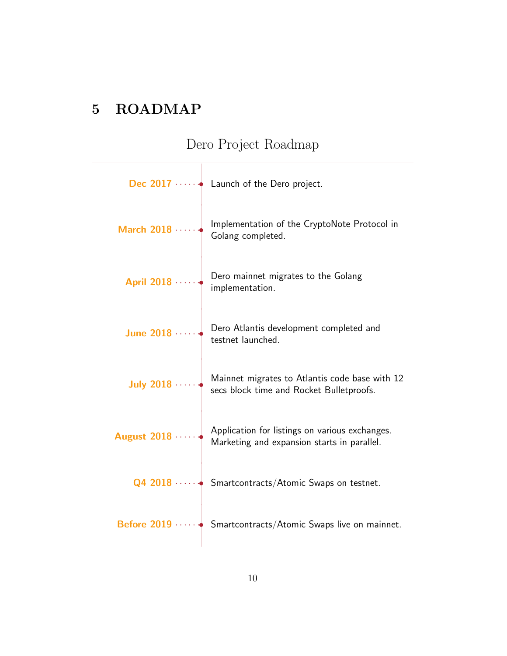# <span id="page-10-0"></span>**5 ROADMAP**

# Dero Project Roadmap

|               | Dec $2017 \cdots$ Launch of the Dero project.                                                              |
|---------------|------------------------------------------------------------------------------------------------------------|
| March 2018    | Implementation of the CryptoNote Protocol in<br>Golang completed.                                          |
| April 2018    | Dero mainnet migrates to the Golang<br>implementation.                                                     |
| June 2018     | Dero Atlantis development completed and<br>testnet launched.                                               |
|               | July 2018 $\cdots$ Mainnet migrates to Atlantis code base with 12 secs block time and Rocket Bulletproofs. |
| August $2018$ | Application for listings on various exchanges.<br>Marketing and expansion starts in parallel.              |
|               | $Q4$ 2018 $\cdots$ Smartcontracts/Atomic Swaps on testnet.                                                 |
|               | Before $2019$ Smartcontracts/Atomic Swaps live on mainnet.                                                 |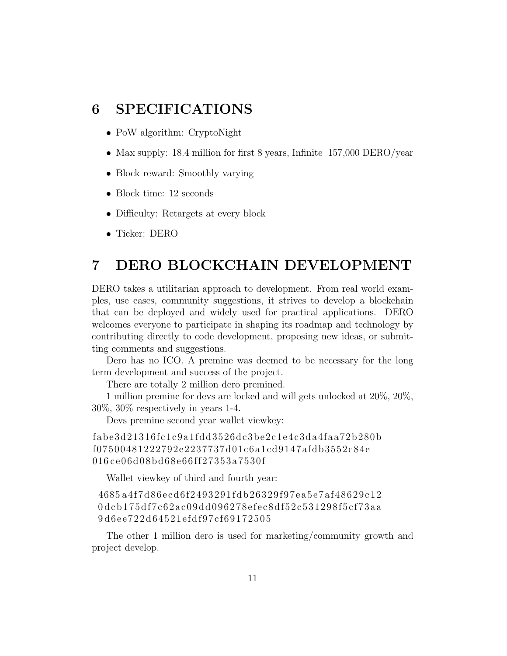### <span id="page-11-0"></span>**6 SPECIFICATIONS**

- PoW algorithm: CryptoNight
- Max supply: 18.4 million for first 8 years, Infinite 157,000 DERO/year
- Block reward: Smoothly varying
- Block time: 12 seconds
- *•* Difficulty: Retargets at every block
- *•* Ticker: DERO

## <span id="page-11-1"></span>**7 DERO BLOCKCHAIN DEVELOPMENT**

DERO takes a utilitarian approach to development. From real world examples, use cases, community suggestions, it strives to develop a blockchain that can be deployed and widely used for practical applications. DERO welcomes everyone to participate in shaping its roadmap and technology by contributing directly to code development, proposing new ideas, or submitting comments and suggestions.

Dero has no ICO. A premine was deemed to be necessary for the long term development and success of the project.

There are totally 2 million dero premined.

1 million premine for devs are locked and will gets unlocked at 20%, 20%, 30%, 30% respectively in years 1-4.

Devs premine second year wallet viewkey:

fa b e3 d21316f c1 c9a1f d d3526 d c3 b e2 c1 e4 c3 da4faa72 b280 b f07500481222792e2237737d01c6a1cd9147afdb3552c84e 016 ce06d08bd68e66ff27353a7530f

Wallet viewkey of third and fourth year:

4685 a4f7 d86 e c d6f2493291f d b26329f97 ea5 e7af48629 c12 0dcb175df7c62ac09dd096278efec8df52c531298f5cf73aa 9 d6 e e722 d64521 ef df97 cf69172505

The other 1 million dero is used for marketing/community growth and project develop.